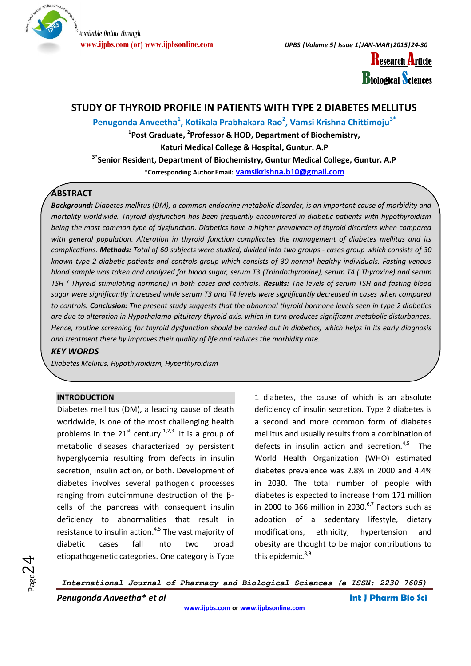

**www.ijpbs.com (or) www.ijpbsonline.com** *IJPBS |Volume 5| Issue 1|JAN-MAR|2015|24-30*

**Research Article Biological Sciences** 

### **STUDY OF THYROID PROFILE IN PATIENTS WITH TYPE 2 DIABETES MELLITUS**

**Penugonda Anveetha<sup>1</sup> , Kotikala Prabhakara Rao<sup>2</sup> , Vamsi Krishna Chittimoju3\***

**1 Post Graduate, <sup>2</sup> Professor & HOD, Department of Biochemistry,** 

**Katuri Medical College & Hospital, Guntur. A.P**

**3\*Senior Resident, Department of Biochemistry, Guntur Medical College, Guntur. A.P**

**\*Corresponding Author Email: [vamsikrishna.b10@gmail.com](mailto:vamsikrishna.b10@gmail.com)**

### **ABSTRACT**

*Background: Diabetes mellitus (DM), a common endocrine metabolic disorder, is an important cause of morbidity and mortality worldwide. Thyroid dysfunction has been frequently encountered in diabetic patients with hypothyroidism being the most common type of dysfunction. Diabetics have a higher prevalence of thyroid disorders when compared with general population. Alteration in thyroid function complicates the management of diabetes mellitus and its complications. Methods: Total of 60 subjects were studied, divided into two groups - cases group which consists of 30 known type 2 diabetic patients and controls group which consists of 30 normal healthy individuals. Fasting venous blood sample was taken and analyzed for blood sugar, serum T3 (Triiodothyronine), serum T4 ( Thyroxine) and serum TSH ( Thyroid stimulating hormone) in both cases and controls. Results: The levels of serum TSH and fasting blood sugar were significantly increased while serum T3 and T4 levels were significantly decreased in cases when compared to controls. Conclusion: The present study suggests that the abnormal thyroid hormone levels seen in type 2 diabetics are due to alteration in Hypothalamo-pituitary-thyroid axis, which in turn produces significant metabolic disturbances. Hence, routine screening for thyroid dysfunction should be carried out in diabetics, which helps in its early diagnosis and treatment there by improves their quality of life and reduces the morbidity rate.* 

### *KEY WORDS*

*Diabetes Mellitus, Hypothyroidism, Hyperthyroidism*

### **INTRODUCTION**

Diabetes mellitus (DM), a leading cause of death worldwide, is one of the most challenging health problems in the  $21^{st}$  century.<sup>1,2,3</sup> It is a group of metabolic diseases characterized by persistent hyperglycemia resulting from defects in insulin secretion, insulin action, or both. Development of diabetes involves several pathogenic processes ranging from autoimmune destruction of the βcells of the pancreas with consequent insulin deficiency to abnormalities that result in resistance to insulin action. $4,5$  The vast majority of diabetic cases fall into two broad etiopathogenetic categories. One category is Type

1 diabetes, the cause of which is an absolute deficiency of insulin secretion. Type 2 diabetes is a second and more common form of diabetes mellitus and usually results from a combination of defects in insulin action and secretion.<sup>4,5</sup> The World Health Organization (WHO) estimated diabetes prevalence was 2.8% in 2000 and 4.4% in 2030. The total number of people with diabetes is expected to increase from 171 million in 2000 to 366 million in 2030. $6,7$  Factors such as adoption of a sedentary lifestyle, dietary modifications, ethnicity, hypertension and obesity are thought to be major contributions to this epidemic.<sup>8,9</sup>

 $_{\rm Page}$ 24

*International Journal of Pharmacy and Biological Sciences (e-ISSN: 2230-7605)*

*Penugonda Anveetha\* et al* **Int J Pharm Bio Sci**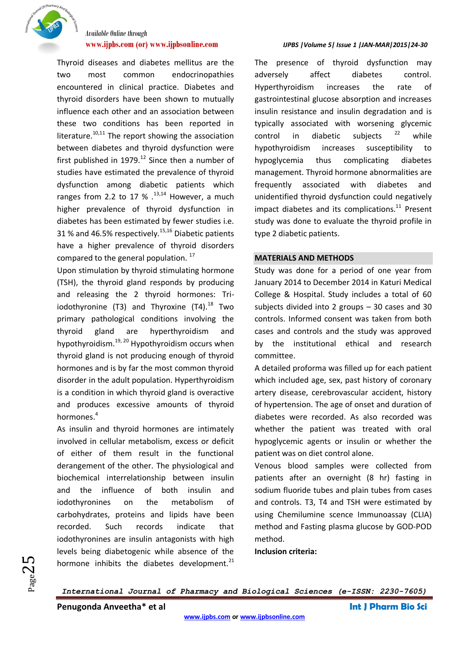

Thyroid diseases and diabetes mellitus are the two most common endocrinopathies encountered in clinical practice. Diabetes and thyroid disorders have been shown to mutually influence each other and an association between these two conditions has been reported in literature. $10,11$  The report showing the association between diabetes and thyroid dysfunction were first published in  $1979$ .<sup>12</sup> Since then a number of studies have estimated the prevalence of thyroid dysfunction among diabetic patients which ranges from 2.2 to 17  $%$   $^{13,14}$  However, a much higher prevalence of thyroid dysfunction in diabetes has been estimated by fewer studies i.e. 31 % and 46.5% respectively.<sup>15,16</sup> Diabetic patients have a higher prevalence of thyroid disorders compared to the general population.  $17$ 

Upon stimulation by thyroid stimulating hormone (TSH), the thyroid gland responds by producing and releasing the 2 thyroid hormones: Triiodothyronine (T3) and Thyroxine  $(T4).^{18}$  Two primary pathological conditions involving the thyroid gland are hyperthyroidism and hypothyroidism.19, <sup>20</sup> Hypothyroidism occurs when thyroid gland is not producing enough of thyroid hormones and is by far the most common thyroid disorder in the adult population. Hyperthyroidism is a condition in which thyroid gland is overactive and produces excessive amounts of thyroid hormones.<sup>4</sup>

As insulin and thyroid hormones are intimately involved in cellular metabolism, excess or deficit of either of them result in the functional derangement of the other. The physiological and biochemical interrelationship between insulin and the influence of both insulin and iodothyronines on the metabolism of carbohydrates, proteins and lipids have been recorded. Such records indicate that iodothyronines are insulin antagonists with high levels being diabetogenic while absence of the hormone inhibits the diabetes development. $^{21}$ 

#### **www.ijpbs.com (or) www.ijpbsonline.com** *IJPBS |Volume 5| Issue 1 |JAN-MAR|2015|24-30*

The presence of thyroid dysfunction may adversely affect diabetes control. Hyperthyroidism increases the rate of gastrointestinal glucose absorption and increases insulin resistance and insulin degradation and is typically associated with worsening glycemic control in diabetic subjects  $2^2$  while hypothyroidism increases susceptibility to hypoglycemia thus complicating diabetes management. Thyroid hormone abnormalities are frequently associated with diabetes and unidentified thyroid dysfunction could negatively impact diabetes and its complications. $11$  Present study was done to evaluate the thyroid profile in type 2 diabetic patients.

### **MATERIALS AND METHODS**

Study was done for a period of one year from January 2014 to December 2014 in Katuri Medical College & Hospital. Study includes a total of 60 subjects divided into 2 groups – 30 cases and 30 controls. Informed consent was taken from both cases and controls and the study was approved by the institutional ethical and research committee.

A detailed proforma was filled up for each patient which included age, sex, past history of coronary artery disease, cerebrovascular accident, history of hypertension. The age of onset and duration of diabetes were recorded. As also recorded was whether the patient was treated with oral hypoglycemic agents or insulin or whether the patient was on diet control alone.

Venous blood samples were collected from patients after an overnight (8 hr) fasting in sodium fluoride tubes and plain tubes from cases and controls. T3, T4 and TSH were estimated by using Chemilumine scence Immunoassay (CLIA) method and Fasting plasma glucose by GOD-POD method.

**Inclusion criteria:** 

*International Journal of Pharmacy and Biological Sciences (e-ISSN: 2230-7605)*

**Penugonda Anveetha\* et al Int J Pharm Bio Sci**

 $P_{\rm age}Z$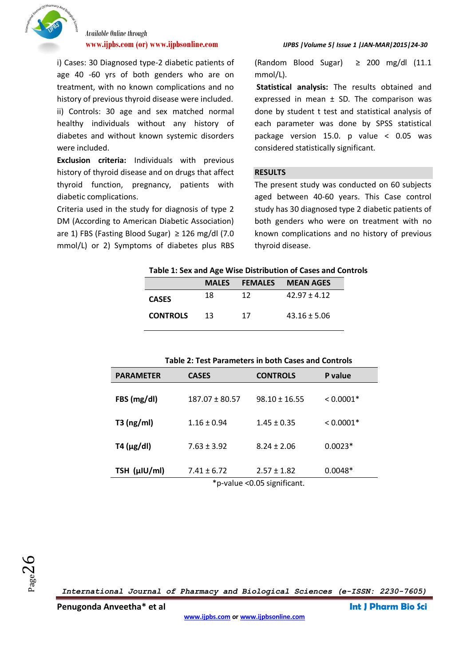

i) Cases: 30 Diagnosed type-2 diabetic patients of age 40 -60 yrs of both genders who are on treatment, with no known complications and no history of previous thyroid disease were included. ii) Controls: 30 age and sex matched normal healthy individuals without any history of diabetes and without known systemic disorders were included.

**Exclusion criteria:** Individuals with previous history of thyroid disease and on drugs that affect thyroid function, pregnancy, patients with diabetic complications.

Criteria used in the study for diagnosis of type 2 DM (According to American Diabetic Association) are 1) FBS (Fasting Blood Sugar)  $\geq$  126 mg/dl (7.0) mmol/L) or 2) Symptoms of diabetes plus RBS

### **www.ijpbs.com (or) www.ijpbsonline.com** *IJPBS |Volume 5| Issue 1 |JAN-MAR|2015|24-30*

(Random Blood Sugar)  $\geq$  200 mg/dl (11.1) mmol/L).

**Statistical analysis:** The results obtained and expressed in mean  $\pm$  SD. The comparison was done by student t test and statistical analysis of each parameter was done by SPSS statistical package version 15.0. p value < 0.05 was considered statistically significant.

### **RESULTS**

The present study was conducted on 60 subjects aged between 40-60 years. This Case control study has 30 diagnosed type 2 diabetic patients of both genders who were on treatment with no known complications and no history of previous thyroid disease.

|                 | <b>MALES</b> |    | <b>FEMALES MEAN AGES</b> |
|-----------------|--------------|----|--------------------------|
| <b>CASES</b>    | 18           | 12 | $42.97 + 4.12$           |
| <b>CONTROLS</b> | 13.          | 17 | $43.16 \pm 5.06$         |

| <b>Table 2: Test Parameters in both Cases and Controls</b> |                    |                                                |             |  |
|------------------------------------------------------------|--------------------|------------------------------------------------|-------------|--|
| <b>PARAMETER</b>                                           | <b>CASES</b>       | <b>CONTROLS</b>                                | P value     |  |
| FBS (mg/dl)                                                | $187.07 \pm 80.57$ | $98.10 \pm 16.55$                              | $< 0.0001*$ |  |
| $T3$ (ng/ml)                                               | $1.16 \pm 0.94$    | $1.45 \pm 0.35$                                | $< 0.0001*$ |  |
| $T4 \, (\mu g/d)$                                          | $7.63 \pm 3.92$    | $8.24 \pm 2.06$                                | $0.0023*$   |  |
| TSH (µIU/ml)                                               | $7.41 \pm 6.72$    | $2.57 \pm 1.82$<br>* 1 0.0 <del>0</del> 1 10 1 | $0.0048*$   |  |

\*p-value <0.05 significant.

*International Journal of Pharmacy and Biological Sciences (e-ISSN: 2230-7605)*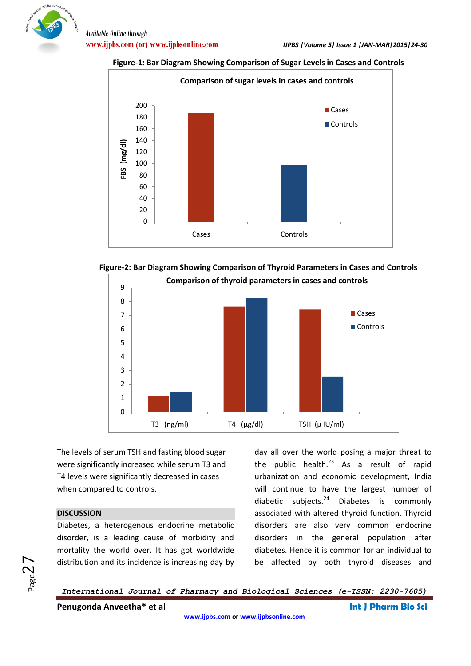









The levels of serum TSH and fasting blood sugar were significantly increased while serum T3 and T4 levels were significantly decreased in cases when compared to controls.

### **DISCUSSION**

Page $Z$  ,

Diabetes, a heterogenous endocrine metabolic disorder, is a leading cause of morbidity and mortality the world over. It has got worldwide distribution and its incidence is increasing day by day all over the world posing a major threat to the public health. $^{23}$  As a result of rapid urbanization and economic development, India will continue to have the largest number of diabetic subjects. $24$  Diabetes is commonly associated with altered thyroid function. Thyroid disorders are also very common endocrine disorders in the general population after diabetes. Hence it is common for an individual to be affected by both thyroid diseases and

*International Journal of Pharmacy and Biological Sciences (e-ISSN: 2230-7605)*

**Penugonda Anveetha\* et al Int J Pharm Bio Sci**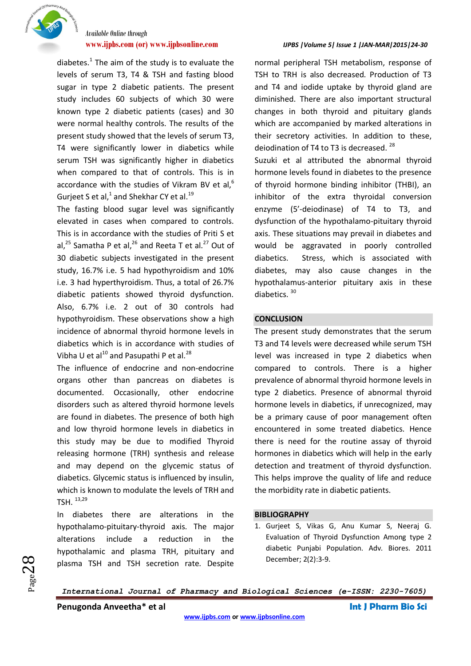

diabetes. $<sup>1</sup>$  The aim of the study is to evaluate the</sup> levels of serum T3, T4 & TSH and fasting blood sugar in type 2 diabetic patients. The present study includes 60 subjects of which 30 were known type 2 diabetic patients (cases) and 30 were normal healthy controls. The results of the present study showed that the levels of serum T3, T4 were significantly lower in diabetics while serum TSH was significantly higher in diabetics when compared to that of controls. This is in accordance with the studies of Vikram BV et al, $^6$ Gurjeet S et al, $^1$  and Shekhar CY et al.<sup>19</sup>

The fasting blood sugar level was significantly elevated in cases when compared to controls. This is in accordance with the studies of Priti S et al,<sup>25</sup> Samatha P et al,<sup>26</sup> and Reeta T et al.<sup>27</sup> Out of 30 diabetic subjects investigated in the present study, 16.7% i.e. 5 had hypothyroidism and 10% i.e. 3 had hyperthyroidism. Thus, a total of 26.7% diabetic patients showed thyroid dysfunction. Also, 6.7% i.e. 2 out of 30 controls had hypothyroidism. These observations show a high incidence of abnormal thyroid hormone levels in diabetics which is in accordance with studies of Vibha U et al $^{10}$  and Pasupathi P et al.<sup>28</sup>

The influence of endocrine and non-endocrine organs other than pancreas on diabetes is documented. Occasionally, other endocrine disorders such as altered thyroid hormone levels are found in diabetes. The presence of both high and low thyroid hormone levels in diabetics in this study may be due to modified Thyroid releasing hormone (TRH) synthesis and release and may depend on the glycemic status of diabetics. Glycemic status is influenced by insulin, which is known to modulate the levels of TRH and TSH. 13,29

In diabetes there are alterations in the hypothalamo-pituitary-thyroid axis. The major alterations include a reduction in the hypothalamic and plasma TRH, pituitary and plasma TSH and TSH secretion rate. Despite

### **www.ijpbs.com (or) www.ijpbsonline.com** *IJPBS |Volume 5| Issue 1 |JAN-MAR|2015|24-30*

normal peripheral TSH metabolism, response of TSH to TRH is also decreased. Production of T3 and T4 and iodide uptake by thyroid gland are diminished. There are also important structural changes in both thyroid and pituitary glands which are accompanied by marked alterations in their secretory activities. In addition to these, deiodination of T4 to T3 is decreased.<sup>28</sup>

Suzuki et al attributed the abnormal thyroid hormone levels found in diabetes to the presence of thyroid hormone binding inhibitor (THBI), an inhibitor of the extra thyroidal conversion enzyme (5'-deiodinase) of T4 to T3, and dysfunction of the hypothalamo-pituitary thyroid axis. These situations may prevail in diabetes and would be aggravated in poorly controlled diabetics. Stress, which is associated with diabetes, may also cause changes in the hypothalamus-anterior pituitary axis in these diabetics.<sup>30</sup>

### **CONCLUSION**

The present study demonstrates that the serum T3 and T4 levels were decreased while serum TSH level was increased in type 2 diabetics when compared to controls. There is a higher prevalence of abnormal thyroid hormone levels in type 2 diabetics. Presence of abnormal thyroid hormone levels in diabetics, if unrecognized, may be a primary cause of poor management often encountered in some treated diabetics. Hence there is need for the routine assay of thyroid hormones in diabetics which will help in the early detection and treatment of thyroid dysfunction. This helps improve the quality of life and reduce the morbidity rate in diabetic patients.

### **BIBLIOGRAPHY**

1. Gurjeet S, Vikas G, Anu Kumar S, Neeraj G. Evaluation of Thyroid Dysfunction Among type 2 diabetic Punjabi Population. Adv. Biores. 2011 December; 2(2):3-9.

 $_{\rm Page}$ 28

*International Journal of Pharmacy and Biological Sciences (e-ISSN: 2230-7605)*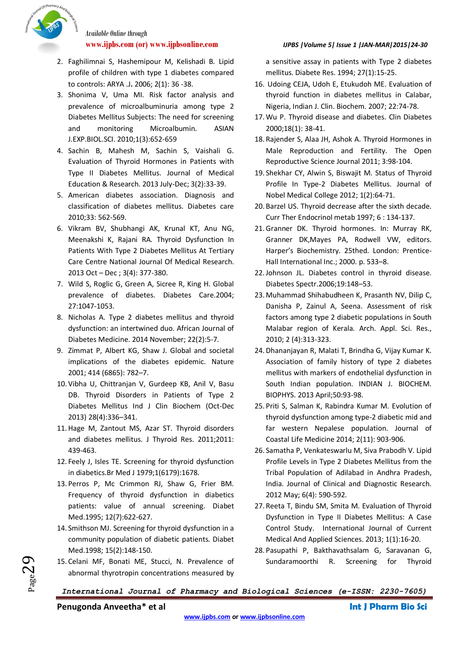

- 2. Faghilimnai S, Hashemipour M, Kelishadi B. Lipid profile of children with type 1 diabetes compared to controls: ARYA .J**.** 2006; 2(1): 36 -38.
- 3. Shonima V, Uma MI. Risk factor analysis and prevalence of microalbuminuria among type 2 Diabetes Mellitus Subjects: The need for screening and monitoring Microalbumin. ASIAN J.EXP.BIOL.SCI. 2010;1(3):652-659
- 4. Sachin B, Mahesh M, Sachin S, Vaishali G. Evaluation of Thyroid Hormones in Patients with Type II Diabetes Mellitus. Journal of Medical Education & Research. 2013 July-Dec; 3(2):33-39.
- 5. American diabetes association. Diagnosis and classification of diabetes mellitus. Diabetes care 2010;33: 562-569.
- 6. Vikram BV, Shubhangi AK, Krunal KT, Anu NG, Meenakshi K, Rajani RA. Thyroid Dysfunction In Patients With Type 2 Diabetes Mellitus At Tertiary Care Centre National Journal Of Medical Research. 2013 Oct – Dec ; 3(4): 377-380.
- 7. Wild S, Roglic G, Green A, Sicree R, King H. Global prevalence of diabetes. Diabetes Care.2004; 27:1047-1053.
- 8. Nicholas A. Type 2 diabetes mellitus and thyroid dysfunction: an intertwined duo. African Journal of Diabetes Medicine. 2014 November; 22(2):5-7.
- 9. Zimmat P, Albert KG, Shaw J. Global and societal implications of the diabetes epidemic. Nature 2001; 414 (6865): 782–7.
- 10. Vibha U, Chittranjan V, Gurdeep KB, Anil V, Basu DB. Thyroid Disorders in Patients of Type 2 Diabetes Mellitus Ind J Clin Biochem (Oct-Dec 2013) 28(4):336–341.
- 11.Hage M, Zantout MS, Azar ST. Thyroid disorders and diabetes mellitus. J Thyroid Res. 2011;2011: 439-463.
- 12. Feely J, Isles TE. Screening for thyroid dysfunction in diabetics.Br Med J 1979;1(6179):1678.
- 13. Perros P, Mc Crimmon RJ, Shaw G, Frier BM. Frequency of thyroid dysfunction in diabetics patients: value of annual screening. Diabet Med.1995; 12(7):622-627.
- 14. Smithson MJ. Screening for thyroid dysfunction in a community population of diabetic patients. Diabet Med.1998; 15(2):148-150.
- 15. Celani MF, Bonati ME, Stucci, N. Prevalence of abnormal thyrotropin concentrations measured by

### **www.ijpbs.com (or) www.ijpbsonline.com** *IJPBS |Volume 5| Issue 1 |JAN-MAR|2015|24-30*

a sensitive assay in patients with Type 2 diabetes mellitus. Diabete Res. 1994; 27(1):15-25.

- 16. Udoing CEJA, Udoh E, Etukudoh ME. Evaluation of thyroid function in diabetes mellitus in Calabar, Nigeria, Indian J. Clin. Biochem. 2007; 22:74-78.
- 17. Wu P. Thyroid disease and diabetes. Clin Diabetes 2000;18(1): 38-41.
- 18. Rajender S, Alaa JH, Ashok A. Thyroid Hormones in Male Reproduction and Fertility. The Open Reproductive Science Journal 2011; 3:98-104.
- 19. Shekhar CY, Alwin S, Biswajit M. Status of Thyroid Profile In Type-2 Diabetes Mellitus. Journal of Nobel Medical College 2012; 1(2):64-71.
- 20. Barzel US. Thyroid decrease after the sixth decade. Curr Ther Endocrinol metab 1997; 6 : 134-137.
- 21.Granner DK. Thyroid hormones. In: Murray RK, Granner DK,Mayes PA, Rodwell VW, editors. Harper's Biochemistry. 25thed. London: Prentice-Hall International Inc.; 2000. p. 533–8.
- 22.Johnson JL. Diabetes control in thyroid disease. Diabetes Spectr.2006;19:148–53.
- 23. Muhammad Shihabudheen K, Prasanth NV, Dilip C, Danisha P, Zainul A, Seena. Assessment of risk factors among type 2 diabetic populations in South Malabar region of Kerala. Arch. Appl. Sci. Res., 2010; 2 (4):313-323.
- 24. Dhananjayan R, Malati T, Brindha G, Vijay Kumar K. Association of family history of type 2 diabetes mellitus with markers of endothelial dysfunction in South Indian population. INDIAN J. BIOCHEM. BIOPHYS. 2013 April;50:93-98.
- 25. Priti S, Salman K, Rabindra Kumar M. Evolution of thyroid dysfunction among type-2 diabetic mid and far western Nepalese population. Journal of Coastal Life Medicine 2014; 2(11): 903-906.
- 26. Samatha P, Venkateswarlu M, Siva Prabodh V. Lipid Profile Levels in Type 2 Diabetes Mellitus from the Tribal Population of Adilabad in Andhra Pradesh, India. Journal of Clinical and Diagnostic Research. 2012 May; 6(4): 590-592.
- 27. Reeta T, Bindu SM, Smita M. Evaluation of Thyroid Dysfunction in Type II Diabetes Mellitus: A Case Control Study. International Journal of Current Medical And Applied Sciences. 2013; 1(1):16-20.
- 28. Pasupathi P, Bakthavathsalam G, Saravanan G, Sundaramoorthi R. Screening for Thyroid

*International Journal of Pharmacy and Biological Sciences (e-ISSN: 2230-7605)*

**Penugonda Anveetha\* et al Int J Pharm Bio Sci**